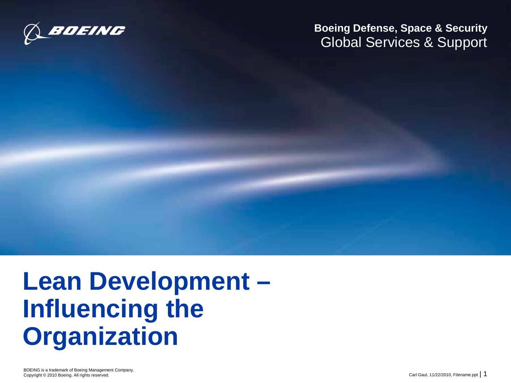

**Boeing Defense, Space & Security** Global Services & Support

# **Lean Development – Influencing the Organization**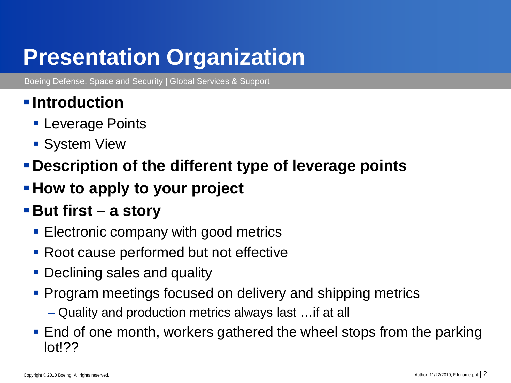## **Presentation Organization**

Boeing Defense, Space and Security | Global Services & Support

#### **Introduction**

- Leverage Points
- **System View**
- **Description of the different type of leverage points**
- **How to apply to your project**
- **But first – a story**
	- **Electronic company with good metrics**
	- Root cause performed but not effective
	- **Declining sales and quality**
	- **Program meetings focused on delivery and shipping metrics** 
		- Quality and production metrics always last …if at all
	- **End of one month, workers gathered the wheel stops from the parking** lot!??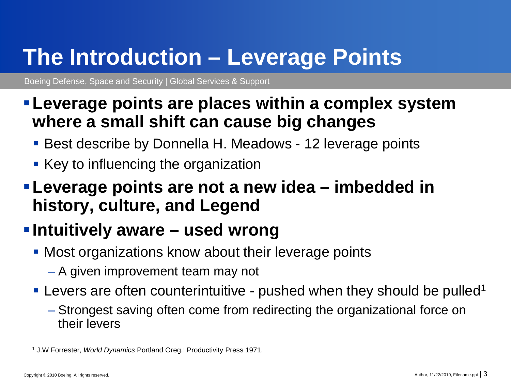## **The Introduction – Leverage Points**

Boeing Defense, Space and Security | Global Services & Support

#### **Leverage points are places within a complex system where a small shift can cause big changes**

- **Best describe by Donnella H. Meadows 12 leverage points**
- Key to influencing the organization
- **Leverage points are not a new idea – imbedded in history, culture, and Legend**

### **Intuitively aware – used wrong**

- **Most organizations know about their leverage points** 
	- A given improvement team may not
- **Levers are often counterintuitive pushed when they should be pulled**  $\mathbf{I}$ 
	- Strongest saving often come from redirecting the organizational force on their levers

<sup>1</sup> J.W Forrester, *World Dynamics* Portland Oreg.: Productivity Press 1971.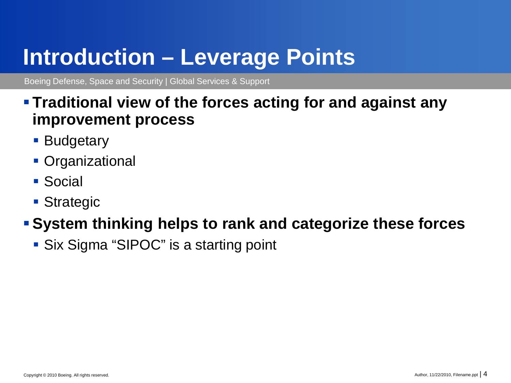## **Introduction – Leverage Points**

Boeing Defense, Space and Security | Global Services & Support

- **Traditional view of the forces acting for and against any improvement process**
	- **Budgetary**
	- **C**rganizational
	- Social
	- Strategic

#### **System thinking helps to rank and categorize these forces**

**Six Sigma "SIPOC" is a starting point**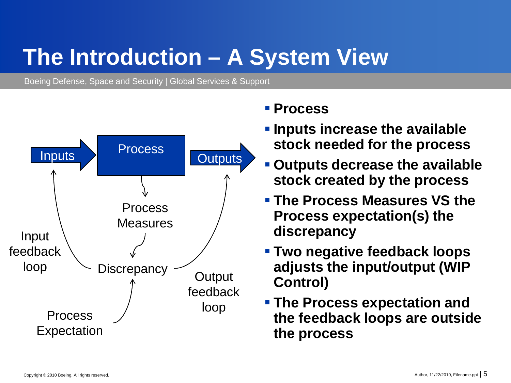# **The Introduction – A System View**

Boeing Defense, Space and Security | Global Services & Support



#### **Process**

- **Inputs increase the available stock needed for the process**
- **Outputs decrease the available stock created by the process**
- **The Process Measures VS the Process expectation(s) the discrepancy**
- **Two negative feedback loops adjusts the input/output (WIP Control)**
- **The Process expectation and the feedback loops are outside the process**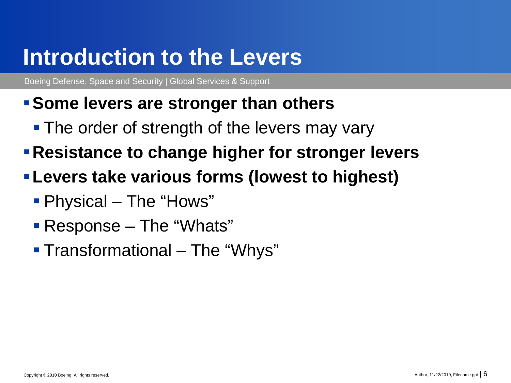### **Introduction to the Levers**

Boeing Defense, Space and Security | Global Services & Support

- **Some levers are stronger than others**
	- The order of strength of the levers may vary
- **Resistance to change higher for stronger levers**
- **Levers take various forms (lowest to highest)**
	- Physical The "Hows"
	- Response The "Whats"
	- Transformational The "Whys"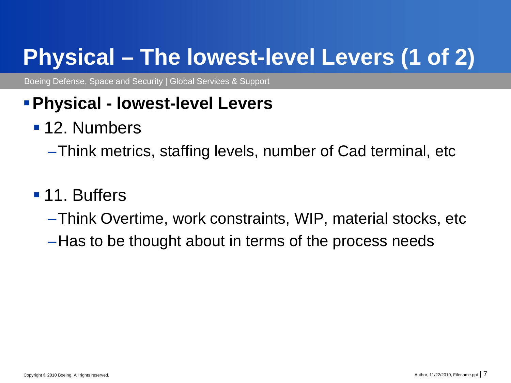## **Physical – The lowest-level Levers (1 of 2)**

Boeing Defense, Space and Security | Global Services & Support

### **Physical - lowest-level Levers**

- 12. Numbers
	- –Think metrics, staffing levels, number of Cad terminal, etc

### ■ 11. Buffers

- –Think Overtime, work constraints, WIP, material stocks, etc
- –Has to be thought about in terms of the process needs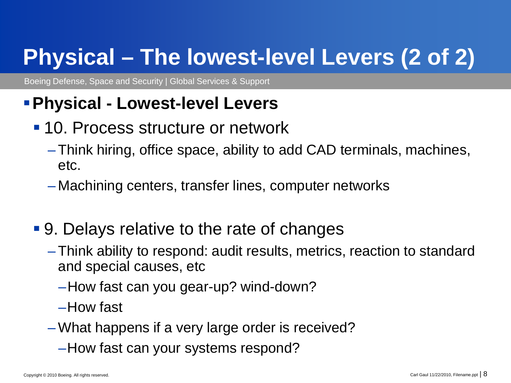## **Physical – The lowest-level Levers (2 of 2)**

Boeing Defense, Space and Security | Global Services & Support

### **Physical - Lowest-level Levers**

- **-10. Process structure or network** 
	- Think hiring, office space, ability to add CAD terminals, machines, etc.
	- Machining centers, transfer lines, computer networks
- 9. Delays relative to the rate of changes
	- Think ability to respond: audit results, metrics, reaction to standard and special causes, etc
		- –How fast can you gear-up? wind-down?
		- –How fast
	- What happens if a very large order is received?
		- –How fast can your systems respond?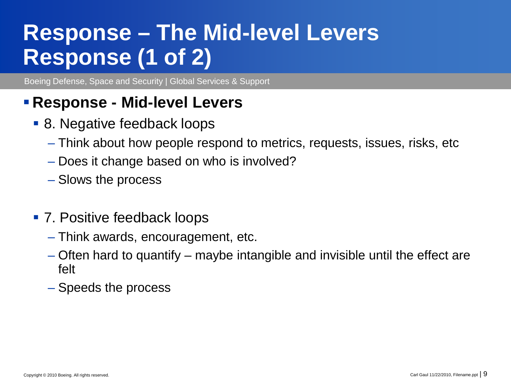## **Response – The Mid-level Levers Response (1 of 2)**

Boeing Defense, Space and Security | Global Services & Support

#### **Response - Mid-level Levers**

- 8. Negative feedback loops
	- Think about how people respond to metrics, requests, issues, risks, etc
	- Does it change based on who is involved?
	- Slows the process
- 7. Positive feedback loops
	- Think awards, encouragement, etc.
	- Often hard to quantify maybe intangible and invisible until the effect are felt
	- Speeds the process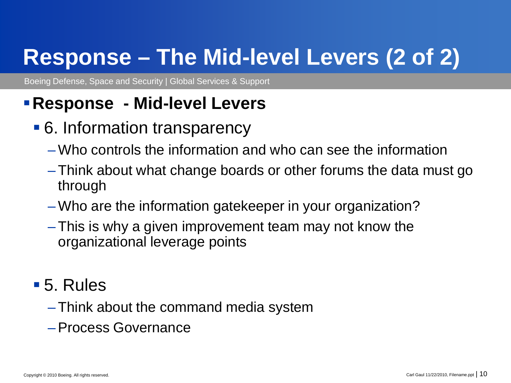## **Response – The Mid-level Levers (2 of 2)**

Boeing Defense, Space and Security | Global Services & Support

### **Response - Mid-level Levers**

- 6. Information transparency
	- Who controls the information and who can see the information
	- Think about what change boards or other forums the data must go through
	- Who are the information gatekeeper in your organization?
	- This is why a given improvement team may not know the organizational leverage points
- 5. Rules
	- Think about the command media system
	- Process Governance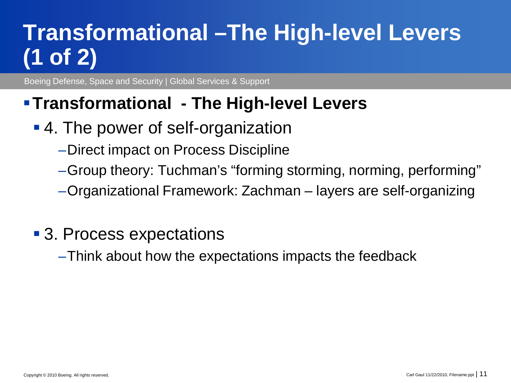# **Transformational –The High-level Levers (1 of 2)**

Boeing Defense, Space and Security | Global Services & Support

### **Transformational - The High-level Levers**

- 4. The power of self-organization
	- –Direct impact on Process Discipline
	- –Group theory: Tuchman's "forming storming, norming, performing"
	- –Organizational Framework: Zachman layers are self-organizing

#### ■ 3. Process expectations

–Think about how the expectations impacts the feedback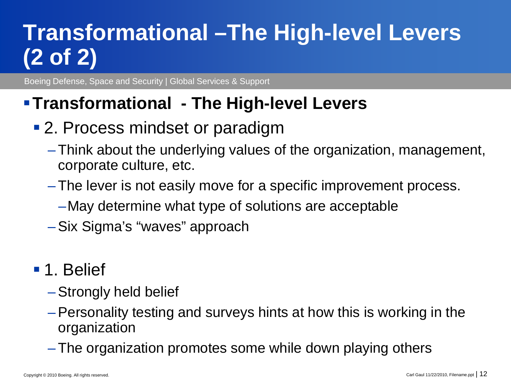# **Transformational –The High-level Levers (2 of 2)**

Boeing Defense, Space and Security | Global Services & Support

### **Transformational - The High-level Levers**

### **2. Process mindset or paradigm**

- Think about the underlying values of the organization, management, corporate culture, etc.
- The lever is not easily move for a specific improvement process.
	- –May determine what type of solutions are acceptable
- Six Sigma's "waves" approach

### ■ 1. Belief

- Strongly held belief
- Personality testing and surveys hints at how this is working in the organization
- The organization promotes some while down playing others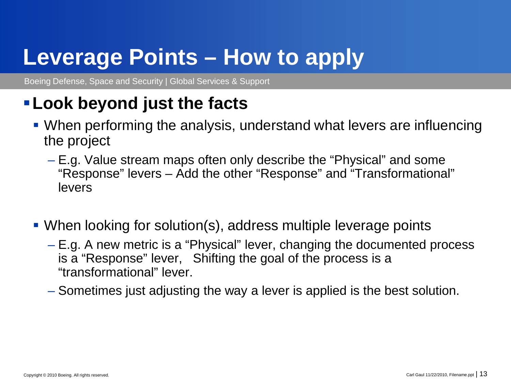## **Leverage Points – How to apply**

Boeing Defense, Space and Security | Global Services & Support

### **Look beyond just the facts**

- When performing the analysis, understand what levers are influencing the project
	- E.g. Value stream maps often only describe the "Physical" and some "Response" levers – Add the other "Response" and "Transformational" levers
- When looking for solution(s), address multiple leverage points
	- E.g. A new metric is a "Physical" lever, changing the documented process is a "Response" lever, Shifting the goal of the process is a "transformational" lever.
	- Sometimes just adjusting the way a lever is applied is the best solution.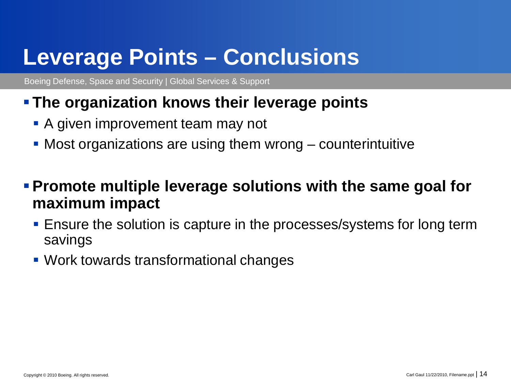### **Leverage Points – Conclusions**

Boeing Defense, Space and Security | Global Services & Support

#### **The organization knows their leverage points**

- **A** given improvement team may not
- Most organizations are using them wrong counterintuitive
- **Promote multiple leverage solutions with the same goal for maximum impact**
	- Ensure the solution is capture in the processes/systems for long term savings
	- Work towards transformational changes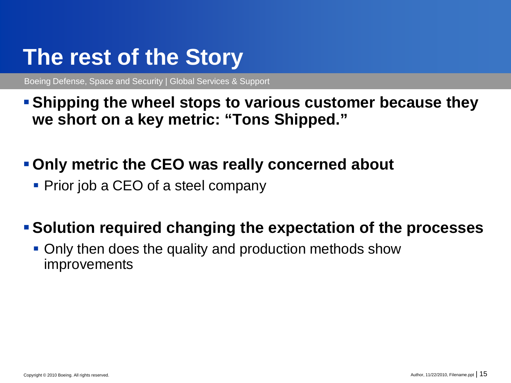### **The rest of the Story**

Boeing Defense, Space and Security | Global Services & Support

**Shipping the wheel stops to various customer because they we short on a key metric: "Tons Shipped."** 

#### **Only metric the CEO was really concerned about**

• Prior job a CEO of a steel company

#### **Solution required changing the expectation of the processes**

• Only then does the quality and production methods show improvements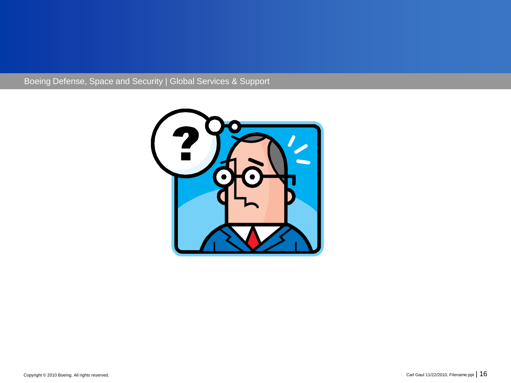Boeing Defense, Space and Security | Global Services & Support